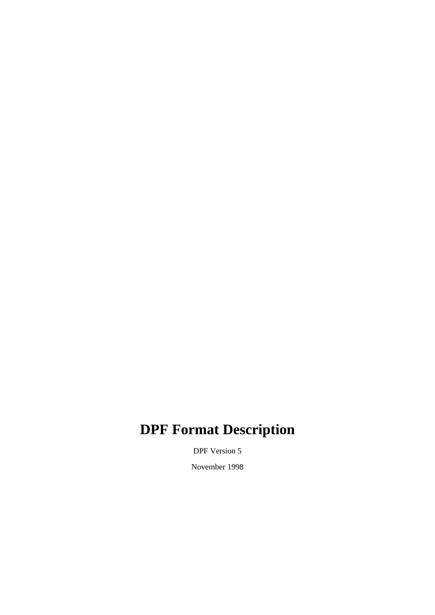# **DPF Format Description**

DPF Version 5

November 1998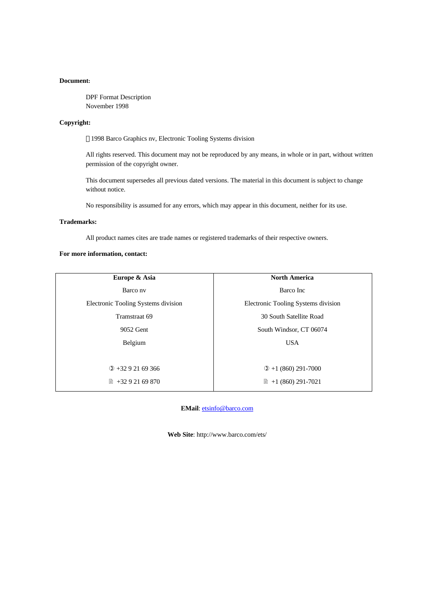#### **Document:**

DPF Format Description November 1998

#### **Copyright:**

1998 Barco Graphics nv, Electronic Tooling Systems division

All rights reserved. This document may not be reproduced by any means, in whole or in part, without written permission of the copyright owner.

This document supersedes all previous dated versions. The material in this document is subject to change without notice.

No responsibility is assumed for any errors, which may appear in this document, neither for its use.

#### **Trademarks:**

All product names cites are trade names or registered trademarks of their respective owners.

#### **For more information, contact:**

| Europe & Asia                       | <b>North America</b>                |  |
|-------------------------------------|-------------------------------------|--|
| Barco nv                            | Barco Inc                           |  |
| Electronic Tooling Systems division | Electronic Tooling Systems division |  |
| Tramstraat 69                       | 30 South Satellite Road             |  |
| 9052 Gent                           | South Windsor, CT 06074             |  |
| Belgium                             | <b>USA</b>                          |  |
|                                     |                                     |  |
| $(2) + 3292169366$                  | $\Phi$ +1 (860) 291-7000            |  |
| $\binom{2}{3}$ +32 9 21 69 870      | $\parallel$ +1 (860) 291-7021       |  |
|                                     |                                     |  |

**EMail**: etsinfo@barco.com

**Web Site**: http://www.barco.com/ets/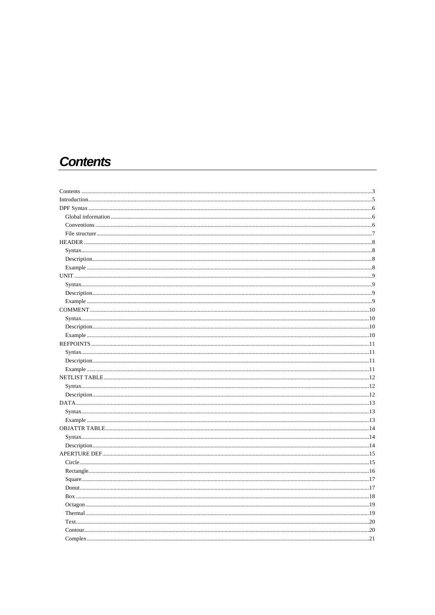# **Contents**

| $\dots$ 17 |
|------------|
|            |
|            |
|            |
|            |
|            |
|            |
|            |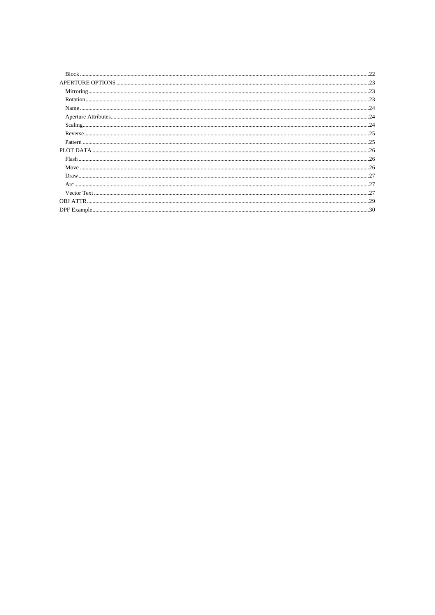| .23 |
|-----|
|     |
|     |
|     |
|     |
|     |
|     |
|     |
|     |
|     |
|     |
|     |
|     |
|     |
|     |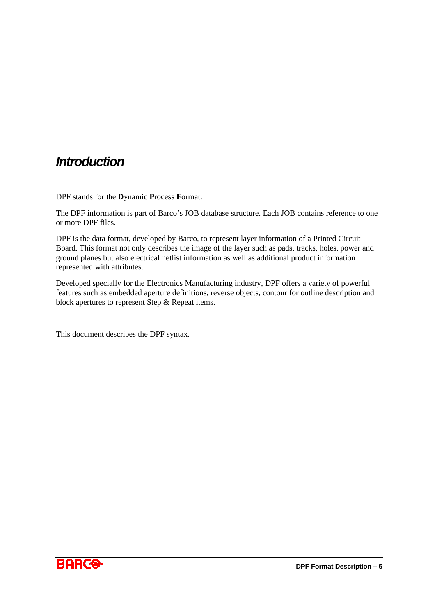# *Introduction*

DPF stands for the **D**ynamic **P**rocess **F**ormat.

The DPF information is part of Barco's JOB database structure. Each JOB contains reference to one or more DPF files.

DPF is the data format, developed by Barco, to represent layer information of a Printed Circuit Board. This format not only describes the image of the layer such as pads, tracks, holes, power and ground planes but also electrical netlist information as well as additional product information represented with attributes.

Developed specially for the Electronics Manufacturing industry, DPF offers a variety of powerful features such as embedded aperture definitions, reverse objects, contour for outline description and block apertures to represent Step & Repeat items.

This document describes the DPF syntax.

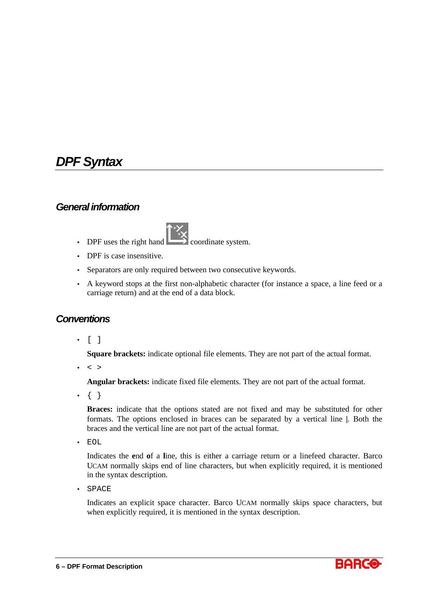# *DPF Syntax*

## *General information*

- 
- DPF uses the right hand coordinate system.
- DPF is case insensitive.
- Separators are only required between two consecutive keywords.
- A keyword stops at the first non-alphabetic character (for instance a space, a line feed or a carriage return) and at the end of a data block.

# *Conventions*

• [ ]

**Square brackets:** indicate optional file elements. They are not part of the actual format.

 $\bullet$  < >

**Angular brackets:** indicate fixed file elements. They are not part of the actual format.

 $\bullet \ \{ \}$ 

**Braces:** indicate that the options stated are not fixed and may be substituted for other formats. The options enclosed in braces can be separated by a vertical line **|**. Both the braces and the vertical line are not part of the actual format.

• EOL

Indicates the **e**nd **o**f a **l**ine, this is either a carriage return or a linefeed character. Barco UCAM normally skips end of line characters, but when explicitly required, it is mentioned in the syntax description.

• SPACE

Indicates an explicit space character. Barco UCAM normally skips space characters, but when explicitly required, it is mentioned in the syntax description.



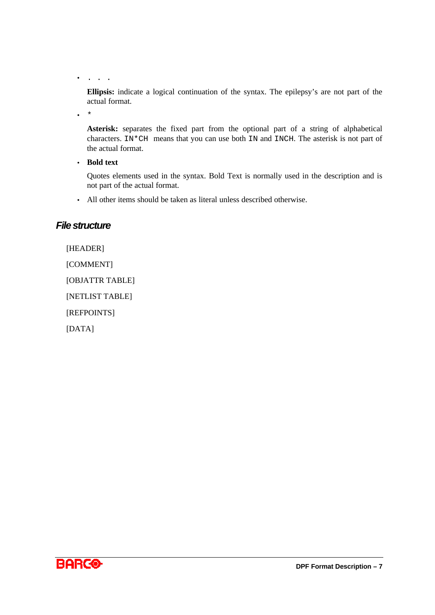• . . .

**Ellipsis:** indicate a logical continuation of the syntax. The epilepsy's are not part of the actual format.

 $\star$ 

**Asterisk:** separates the fixed part from the optional part of a string of alphabetical characters. IN\*CH means that you can use both IN and INCH. The asterisk is not part of the actual format.

• **Bold text**

Quotes elements used in the syntax. Bold Text is normally used in the description and is not part of the actual format.

• All other items should be taken as literal unless described otherwise.

## *File structure*

[HEADER]

[COMMENT]

[OBJATTR TABLE]

[NETLIST TABLE]

[REFPOINTS]

[DATA]

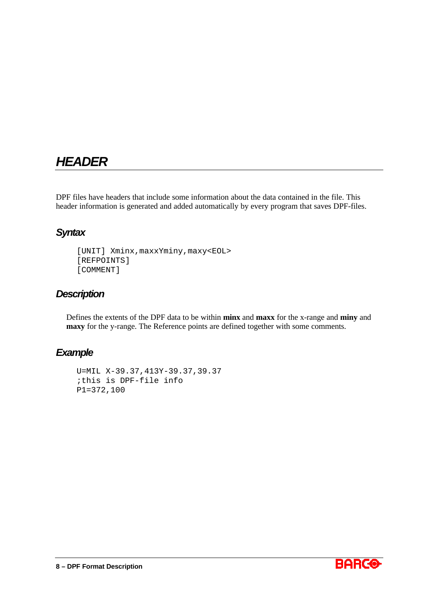# *HEADER*

DPF files have headers that include some information about the data contained in the file. This header information is generated and added automatically by every program that saves DPF-files.

# *Syntax*

```
[UNIT] Xminx,maxxYminy,maxy<EOL>
[REFPOINTS]
[COMMENT]
```
# *Description*

Defines the extents of the DPF data to be within **minx** and **maxx** for the x-range and **miny** and **maxy** for the y-range. The Reference points are defined together with some comments.

```
U=MIL X-39.37,413Y-39.37,39.37
;this is DPF-file info
P1=372,100
```
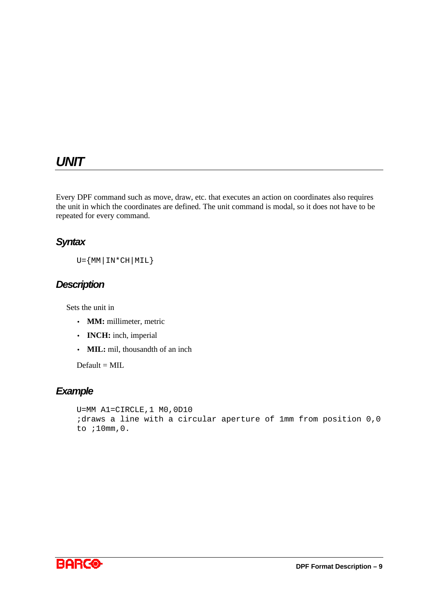# *UNIT*

Every DPF command such as move, draw, etc. that executes an action on coordinates also requires the unit in which the coordinates are defined. The unit command is modal, so it does not have to be repeated for every command.

# *Syntax*

 $U = \{ MM | IN * CH | MIL \}$ 

# *Description*

Sets the unit in

- **MM:** millimeter, metric
- **INCH:** inch, imperial
- **MIL:** mil, thousandth of an inch

 $Default = MIL$ 

```
U=MM A1=CIRCLE,1 M0,0D10
;draws a line with a circular aperture of 1mm from position 0,0
to ;10mm,0.
```
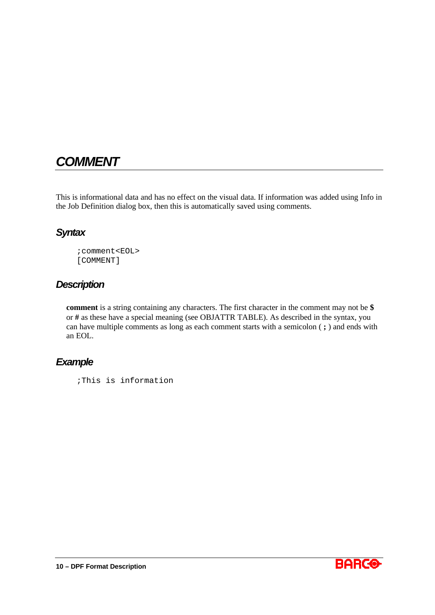# *COMMENT*

This is informational data and has no effect on the visual data. If information was added using Info in the Job Definition dialog box, then this is automatically saved using comments.

# *Syntax*

;comment<EOL> [COMMENT]

# *Description*

**comment** is a string containing any characters. The first character in the comment may not be **\$** or **#** as these have a special meaning (see OBJATTR TABLE). As described in the syntax, you can have multiple comments as long as each comment starts with a semicolon ( **;** ) and ends with an EOL.

## *Example*

;This is information

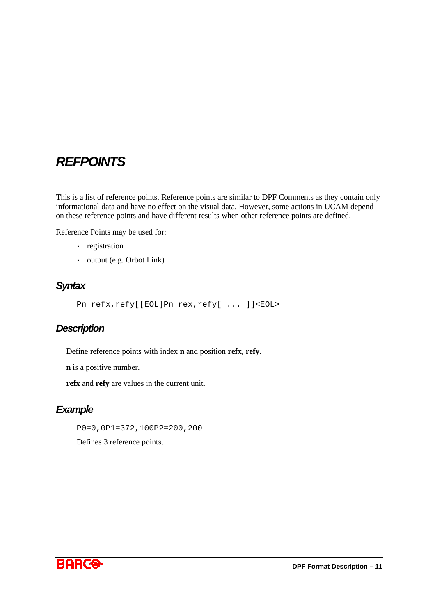# *REFPOINTS*

This is a list of reference points. Reference points are similar to DPF Comments as they contain only informational data and have no effect on the visual data. However, some actions in UCAM depend on these reference points and have different results when other reference points are defined.

Reference Points may be used for:

- registration
- output (e.g. Orbot Link)

## *Syntax*

Pn=refx,refy[[EOL]Pn=rex,refy[ ... ]]<EOL>

## *Description*

Define reference points with index **n** and position **refx, refy**.

**n** is a positive number.

**refx** and **refy** are values in the current unit.

## *Example*

P0=0,0P1=372,100P2=200,200

Defines 3 reference points.

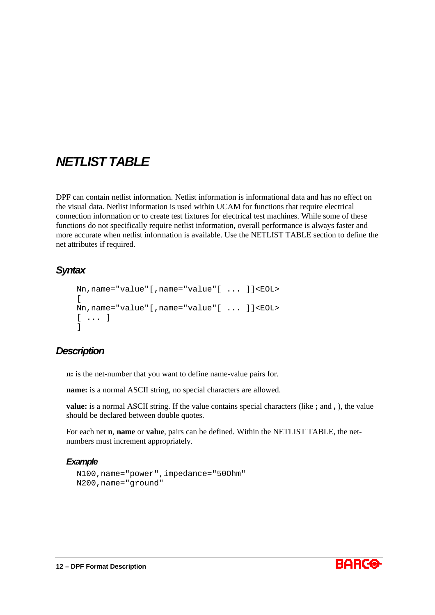# *NETLIST TABLE*

DPF can contain netlist information. Netlist information is informational data and has no effect on the visual data. Netlist information is used within UCAM for functions that require electrical connection information or to create test fixtures for electrical test machines. While some of these functions do not specifically require netlist information, overall performance is always faster and more accurate when netlist information is available. Use the NETLIST TABLE section to define the net attributes if required.

# *Syntax*

```
Nn,name="value"[,name="value"[ ... ]]<EOL>
[
Nn,name="value"[,name="value"[ ... ]]<EOL>
[ ... ]]
```
# *Description*

**n:** is the net-number that you want to define name-value pairs for.

**name:** is a normal ASCII string, no special characters are allowed.

**value:** is a normal ASCII string. If the value contains special characters (like **;** and **,** ), the value should be declared between double quotes.

For each net **n**, **name** or **value**, pairs can be defined. Within the NETLIST TABLE, the netnumbers must increment appropriately.

```
N100,name="power",impedance="50Ohm"
N200,name="ground"
```
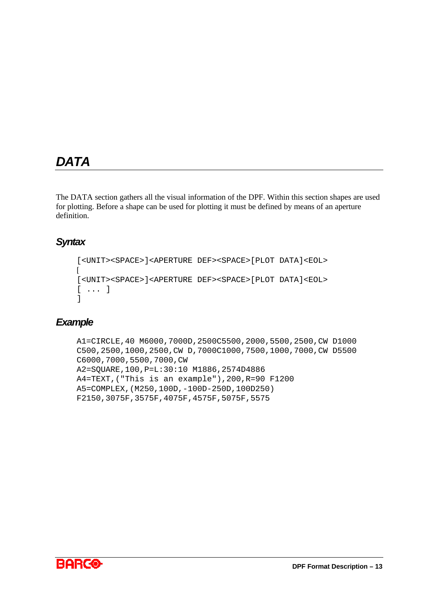# *DATA*

The DATA section gathers all the visual information of the DPF. Within this section shapes are used for plotting. Before a shape can be used for plotting it must be defined by means of an aperture definition.

# *Syntax*

```
[<UNIT><SPACE>]<APERTURE DEF><SPACE>[PLOT DATA]<EOL>
\lceil[<UNIT><SPACE>]<APERTURE DEF><SPACE>[PLOT DATA]<EOL>
[ ... ]
]
```

```
A1=CIRCLE,40 M6000,7000D,2500C5500,2000,5500,2500,CW D1000
C500,2500,1000,2500,CW D,7000C1000,7500,1000,7000,CW D5500
C6000,7000,5500,7000,CW
A2=SQUARE,100,P=L:30:10 M1886,2574D4886
A4=TEXT,("This is an example"),200,R=90 F1200
A5=COMPLEX,(M250,100D,-100D-250D,100D250)
F2150,3075F,3575F,4075F,4575F,5075F,5575
```
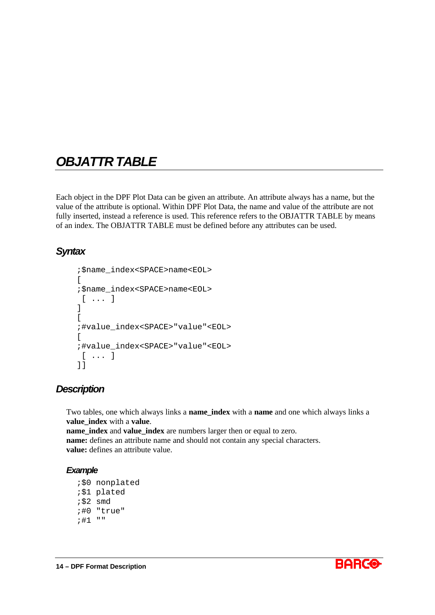# *OBJATTR TABLE*

Each object in the DPF Plot Data can be given an attribute. An attribute always has a name, but the value of the attribute is optional. Within DPF Plot Data, the name and value of the attribute are not fully inserted, instead a reference is used. This reference refers to the OBJATTR TABLE by means of an index. The OBJATTR TABLE must be defined before any attributes can be used.

# *Syntax*

```
;$name_index<SPACE>name<EOL>
\sqrt{2};$name_index<SPACE>name<EOL>
 [ ... ]
]
\sqrt{2};#value_index<SPACE>"value"<EOL>
\Gamma;#value_index<SPACE>"value"<EOL>
 [ ... ]
]]
```
## *Description*

Two tables, one which always links a **name\_index** with a **name** and one which always links a **value\_index** with a **value**. **name\_index** and **value\_index** are numbers larger then or equal to zero. **name:** defines an attribute name and should not contain any special characters. **value:** defines an attribute value.

```
;$0 nonplated
;$1 plated
;$2 smd
;#0 "true"
;#1 ""
```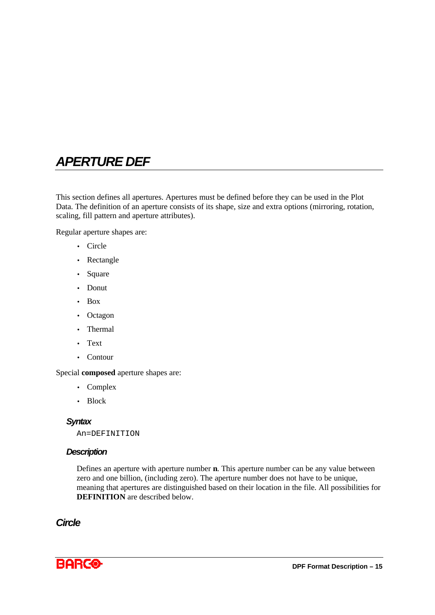# *APERTURE DEF*

This section defines all apertures. Apertures must be defined before they can be used in the Plot Data. The definition of an aperture consists of its shape, size and extra options (mirroring, rotation, scaling, fill pattern and aperture attributes).

Regular aperture shapes are:

- Circle
- Rectangle
- Square
- Donut
- Box
- Octagon
- Thermal
- Text
- Contour

#### Special **composed** aperture shapes are:

- Complex
- Block

#### *Syntax*

An=DEFINITION

### *Description*

Defines an aperture with aperture number **n**. This aperture number can be any value between zero and one billion, (including zero). The aperture number does not have to be unique, meaning that apertures are distinguished based on their location in the file. All possibilities for **DEFINITION** are described below.

## *Circle*

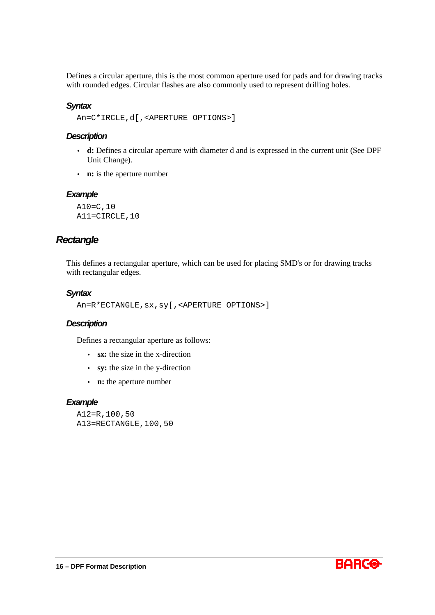Defines a circular aperture, this is the most common aperture used for pads and for drawing tracks with rounded edges. Circular flashes are also commonly used to represent drilling holes.

### *Syntax*

An=C\*IRCLE,d[,<APERTURE OPTIONS>]

#### *Description*

- **d:** Defines a circular aperture with diameter d and is expressed in the current unit (See DPF Unit Change).
- **n:** is the aperture number

#### *Example*

A10=C,10 A11=CIRCLE,10

## *Rectangle*

This defines a rectangular aperture, which can be used for placing SMD's or for drawing tracks with rectangular edges.

#### *Syntax*

```
An=R*ECTANGLE,sx,sy[,<APERTURE OPTIONS>]
```
#### *Description*

Defines a rectangular aperture as follows:

- **sx:** the size in the x-direction
- **sy:** the size in the y-direction
- **n:** the aperture number

```
A12=R,100,50
A13=RECTANGLE,100,50
```
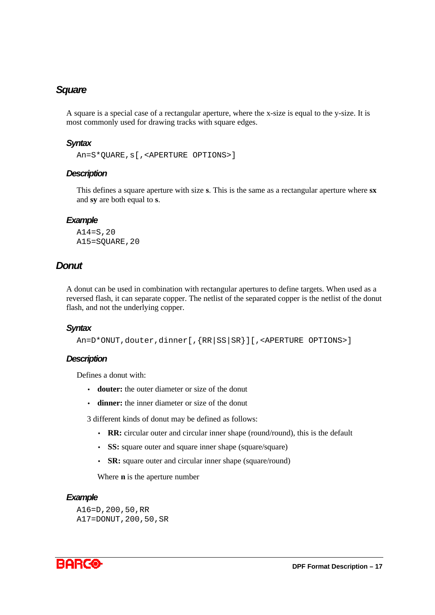## *Square*

A square is a special case of a rectangular aperture, where the x-size is equal to the y-size. It is most commonly used for drawing tracks with square edges.

#### *Syntax*

```
An=S*QUARE,s[,<APERTURE OPTIONS>]
```
#### *Description*

This defines a square aperture with size **s**. This is the same as a rectangular aperture where **sx** and **sy** are both equal to **s**.

#### *Example*

A14=S,20 A15=SQUARE,20

## *Donut*

A donut can be used in combination with rectangular apertures to define targets. When used as a reversed flash, it can separate copper. The netlist of the separated copper is the netlist of the donut flash, and not the underlying copper.

### *Syntax*

```
An=D*ONUT,douter,dinner[,{RR|SS|SR}][,<APERTURE OPTIONS>]
```
### *Description*

Defines a donut with:

- **douter:** the outer diameter or size of the donut
- **dinner:** the inner diameter or size of the donut

3 different kinds of donut may be defined as follows:

- **RR:** circular outer and circular inner shape (round/round), this is the default
- **SS:** square outer and square inner shape (square/square)
- **SR:** square outer and circular inner shape (square/round)

Where **n** is the aperture number

### *Example*

A16=D,200,50,RR A17=DONUT,200,50,SR

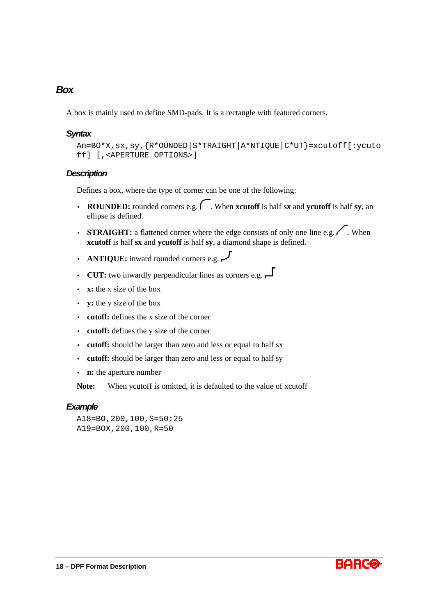## *Box*

A box is mainly used to define SMD-pads. It is a rectangle with featured corners.

#### *Syntax*

```
An=BO*X,sx,sy,{R*OUNDED|S*TRAIGHT|A*NTIQUE|C*UT}=xcutoff[:ycuto
ff] [,<APERTURE OPTIONS>]
```
#### *Description*

Defines a box, where the type of corner can be one of the following:

- **ROUNDED:** rounded corners e.g.  $\bigcap$ . When **xcutoff** is half **sx** and **vcutoff** is half **sy**, an ellipse is defined.
- **STRAIGHT:** a flattened corner where the edge consists of only one line e.g.  $\bigwedge$ . When **xcutoff** is half **sx** and **ycutoff** is half **sy**, a diamond shape is defined.
- **ANTIQUE:** inward rounded corners e.g.  $\overline{\phantom{a}}$
- **CUT:** two inwardly perpendicular lines as corners e.g.  $\Box$
- **x:** the x size of the box
- **y:** the y size of the box
- **cutoff:** defines the x size of the corner
- **cutoff:** defines the y size of the corner
- **cutoff:** should be larger than zero and less or equal to half sx
- **cutoff:** should be larger than zero and less or equal to half sy
- **n:** the aperture number

**Note:** When ycutoff is omitted, it is defaulted to the value of xcutoff

#### *Example*

A18=BO,200,100,S=50:25 A19=BOX,200,100,R=50

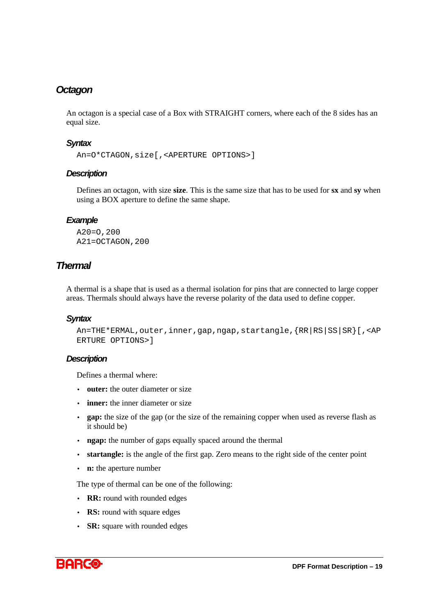## *Octagon*

An octagon is a special case of a Box with STRAIGHT corners, where each of the 8 sides has an equal size.

### *Syntax*

```
An=O*CTAGON,size[,<APERTURE OPTIONS>]
```
### *Description*

Defines an octagon, with size **size**. This is the same size that has to be used for **sx** and **sy** when using a BOX aperture to define the same shape.

### *Example*

A20=O,200 A21=OCTAGON,200

## *Thermal*

A thermal is a shape that is used as a thermal isolation for pins that are connected to large copper areas. Thermals should always have the reverse polarity of the data used to define copper.

### *Syntax*

```
An=THE*ERMAL,outer,inner,gap,ngap,startangle,{RR|RS|SS|SR}[,<AP
ERTURE OPTIONS>]
```
### *Description*

Defines a thermal where:

- **outer:** the outer diameter or size
- **inner:** the inner diameter or size
- **gap:** the size of the gap (or the size of the remaining copper when used as reverse flash as it should be)
- **ngap:** the number of gaps equally spaced around the thermal
- **startangle:** is the angle of the first gap. Zero means to the right side of the center point
- **n:** the aperture number

The type of thermal can be one of the following:

- **RR:** round with rounded edges
- **RS:** round with square edges
- **SR:** square with rounded edges

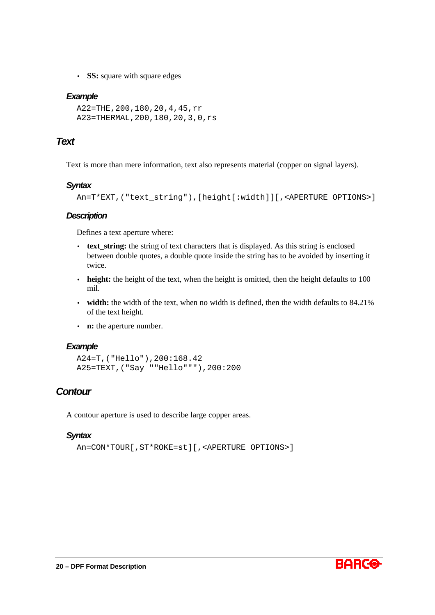• **SS:** square with square edges

### *Example*

```
A22=THE,200,180,20,4,45,rr
A23=THERMAL,200,180,20,3,0,rs
```
## *Text*

Text is more than mere information, text also represents material (copper on signal layers).

## *Syntax*

An=T\*EXT,("text\_string"),[height[:width]][,<APERTURE OPTIONS>]

## *Description*

Defines a text aperture where:

- **text string:** the string of text characters that is displayed. As this string is enclosed between double quotes, a double quote inside the string has to be avoided by inserting it twice.
- **height:** the height of the text, when the height is omitted, then the height defaults to 100 mil.
- **width:** the width of the text, when no width is defined, then the width defaults to 84.21% of the text height.
- **n:** the aperture number.

### *Example*

A24=T,("Hello"),200:168.42 A25=TEXT,("Say ""Hello"""),200:200

## *Contour*

A contour aperture is used to describe large copper areas.

## *Syntax*

```
An=CON*TOUR[,ST*ROKE=st][,<APERTURE OPTIONS>]
```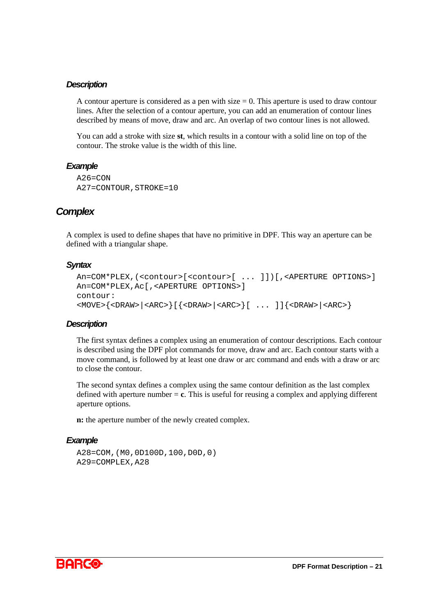#### *Description*

A contour aperture is considered as a pen with size  $= 0$ . This aperture is used to draw contour lines. After the selection of a contour aperture, you can add an enumeration of contour lines described by means of move, draw and arc. An overlap of two contour lines is not allowed.

You can add a stroke with size **st**, which results in a contour with a solid line on top of the contour. The stroke value is the width of this line.

#### *Example*

```
A26 = CONA27=CONTOUR,STROKE=10
```
## *Complex*

A complex is used to define shapes that have no primitive in DPF. This way an aperture can be defined with a triangular shape.

### *Syntax*

```
An=COM*PLEX,(<contour>[<contour>[ ... ]])[,<APERTURE OPTIONS>]
An=COM*PLEX,Ac[,<APERTURE OPTIONS>]
contour:
<MOVE>{<DRAW>|<ARC>}[{<DRAW>|<ARC>}[ ... ]]{<DRAW>|<ARC>}
```
### *Description*

The first syntax defines a complex using an enumeration of contour descriptions. Each contour is described using the DPF plot commands for move, draw and arc. Each contour starts with a move command, is followed by at least one draw or arc command and ends with a draw or arc to close the contour.

The second syntax defines a complex using the same contour definition as the last complex defined with aperture number = **c**. This is useful for reusing a complex and applying different aperture options.

**n:** the aperture number of the newly created complex.

```
A28=COM,(M0,0D100D,100,D0D,0)
A29=COMPLEX,A28
```
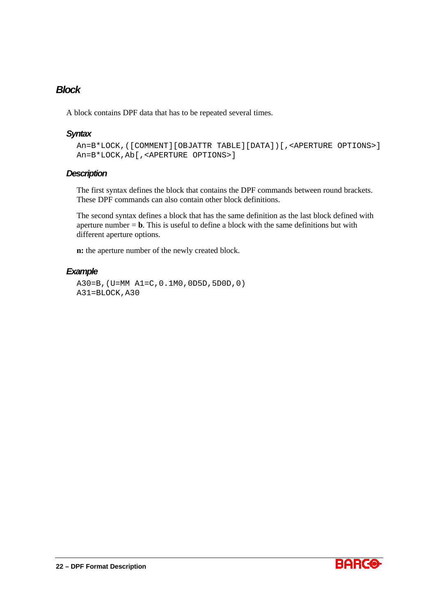## *Block*

A block contains DPF data that has to be repeated several times.

## *Syntax*

```
An=B*LOCK,([COMMENT][OBJATTR TABLE][DATA])[,<APERTURE OPTIONS>]
An=B*LOCK,Ab[,<APERTURE OPTIONS>]
```
## *Description*

The first syntax defines the block that contains the DPF commands between round brackets. These DPF commands can also contain other block definitions.

The second syntax defines a block that has the same definition as the last block defined with aperture number  $= b$ . This is useful to define a block with the same definitions but with different aperture options.

**n:** the aperture number of the newly created block.

### *Example*

A30=B,(U=MM A1=C,0.1M0,0D5D,5D0D,0) A31=BLOCK,A30

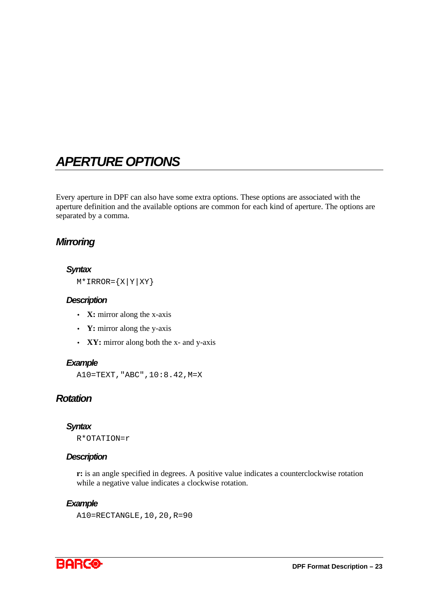# *APERTURE OPTIONS*

Every aperture in DPF can also have some extra options. These options are associated with the aperture definition and the available options are common for each kind of aperture. The options are separated by a comma.

## *Mirroring*

### *Syntax*

 $M*IRROR = {X|Y|XY}$ 

## *Description*

- **X:** mirror along the x-axis
- **Y:** mirror along the y-axis
- **XY:** mirror along both the x- and y-axis

### *Example*

A10=TEXT,"ABC",10:8.42,M=X

## *Rotation*

#### *Syntax*

R\*OTATION=r

### *Description*

**r:** is an angle specified in degrees. A positive value indicates a counterclockwise rotation while a negative value indicates a clockwise rotation.

#### *Example*

A10=RECTANGLE,10,20,R=90

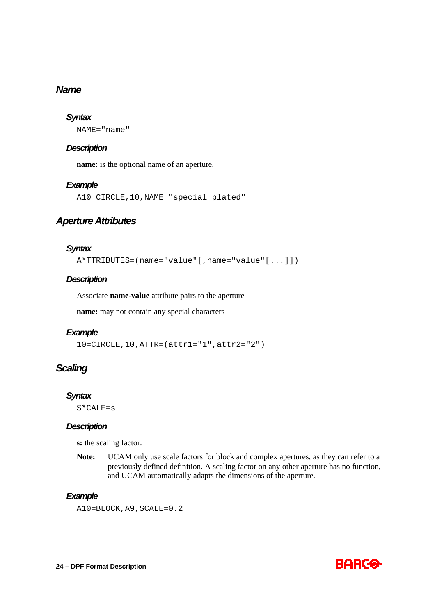## *Name*

## *Syntax*

NAME="name"

### *Description*

**name:** is the optional name of an aperture.

### *Example*

A10=CIRCLE,10,NAME="special plated"

## *Aperture Attributes*

### *Syntax*

A\*TTRIBUTES=(name="value"[,name="value"[...]])

## *Description*

Associate **name-value** attribute pairs to the aperture

**name:** may not contain any special characters

### *Example*

10=CIRCLE,10,ATTR=(attr1="1",attr2="2")

## *Scaling*

### *Syntax*

S\*CALE=s

### *Description*

**s:** the scaling factor.

**Note:** UCAM only use scale factors for block and complex apertures, as they can refer to a previously defined definition. A scaling factor on any other aperture has no function, and UCAM automatically adapts the dimensions of the aperture.

## *Example*

A10=BLOCK,A9,SCALE=0.2

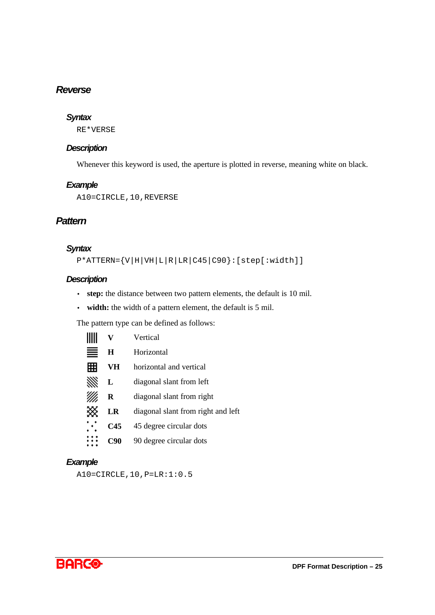## *Reverse*

### *Syntax*

RE\*VERSE

### *Description*

Whenever this keyword is used, the aperture is plotted in reverse, meaning white on black.

### *Example*

A10=CIRCLE,10,REVERSE

## *Pattern*

## *Syntax*

P\*ATTERN={V|H|VH|L|R|LR|C45|C90}:[step[:width]]

### *Description*

 $\sim$ 

- **step:** the distance between two pattern elements, the default is 10 mil.
- **width:** the width of a pattern element, the default is 5 mil.

The pattern type can be defined as follows:

|                       | V   | Vertical                           |
|-----------------------|-----|------------------------------------|
| ≣                     | H   | Horizontal                         |
| 翢                     | VH  | horizontal and vertical            |
| ₩                     | L   | diagonal slant from left           |
|                       | R   | diagonal slant from right          |
| ⋙                     | LR  | diagonal slant from right and left |
| $\dddot{\phantom{1}}$ | C45 | 45 degree circular dots            |
|                       | C90 | 90 degree circular dots            |
|                       |     |                                    |

### *Example*

A10=CIRCLE,10,P=LR:1:0.5

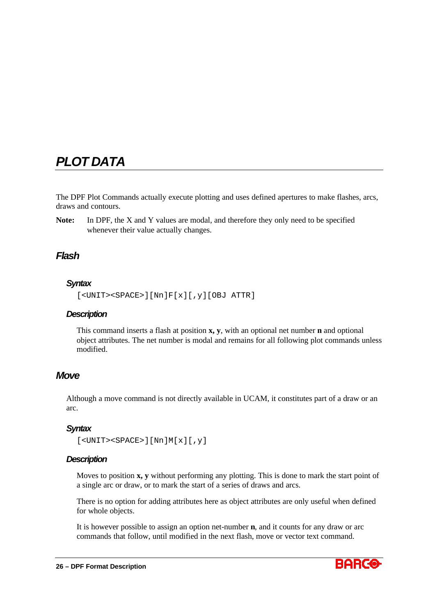# *PLOT DATA*

The DPF Plot Commands actually execute plotting and uses defined apertures to make flashes, arcs, draws and contours.

**Note:** In DPF, the X and Y values are modal, and therefore they only need to be specified whenever their value actually changes.

## *Flash*

## *Syntax*

```
[<UNIT><SPACE>][Nn]F[x][,y][OBJ ATTR]
```
## *Description*

This command inserts a flash at position **x, y**, with an optional net number **n** and optional object attributes. The net number is modal and remains for all following plot commands unless modified.

## *Move*

Although a move command is not directly available in UCAM, it constitutes part of a draw or an arc.

## *Syntax*

```
[<UNIT><SPACE>][Nn]M[x][,y]
```
### *Description*

Moves to position **x, y** without performing any plotting. This is done to mark the start point of a single arc or draw, or to mark the start of a series of draws and arcs.

There is no option for adding attributes here as object attributes are only useful when defined for whole objects.

It is however possible to assign an option net-number **n**, and it counts for any draw or arc commands that follow, until modified in the next flash, move or vector text command.

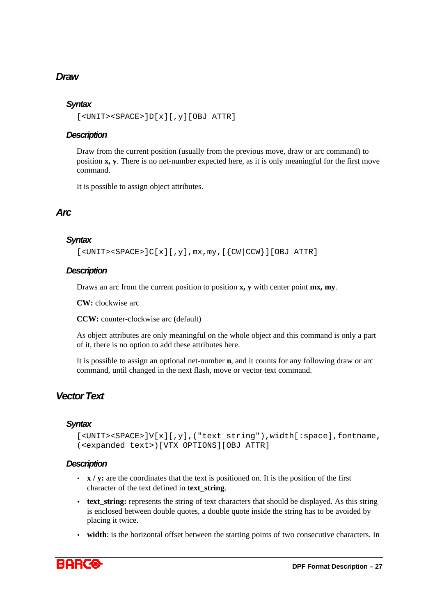# *Draw*

## *Syntax*

```
[<UNIT><SPACE>]D[x][,y][OBJ ATTR]
```
## *Description*

Draw from the current position (usually from the previous move, draw or arc command) to position **x, y**. There is no net-number expected here, as it is only meaningful for the first move command.

It is possible to assign object attributes.

## *Arc*

## *Syntax*

 $[\text{CUNIT}><\text{SPACE}>C[x][,y],\text{mx},\text{my},[\text{CW}|CCW}]$ [OBJ ATTR]

## *Description*

Draws an arc from the current position to position **x, y** with center point **mx, my**.

**CW:** clockwise arc

**CCW:** counter-clockwise arc (default)

As object attributes are only meaningful on the whole object and this command is only a part of it, there is no option to add these attributes here.

It is possible to assign an optional net-number **n**, and it counts for any following draw or arc command, until changed in the next flash, move or vector text command.

# *Vector Text*

## *Syntax*

```
[<UNIT><SPACE>]V[x][,y],("text_string"),width[:space],fontname,
(<expanded text>)[VTX OPTIONS][OBJ ATTR]
```
## *Description*

- **x** / **y**: are the coordinates that the text is positioned on. It is the position of the first character of the text defined in **text\_string**.
- **text\_string:** represents the string of text characters that should be displayed. As this string is enclosed between double quotes, a double quote inside the string has to be avoided by placing it twice.
- **width**: is the horizontal offset between the starting points of two consecutive characters. In

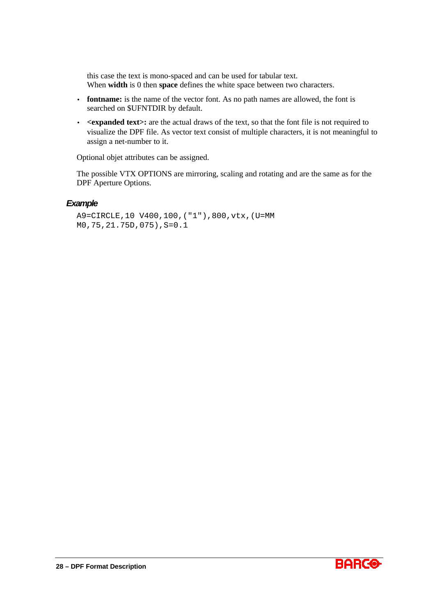this case the text is mono-spaced and can be used for tabular text. When **width** is 0 then **space** defines the white space between two characters.

- **fontname:** is the name of the vector font. As no path names are allowed, the font is searched on \$UFNTDIR by default.
- $\leq$  $\leq$  $\leq$  $\leq$  $\leq$  $\leq$  $\leq$  $\leq$  $\leq$  $\leq$  $\leq$  $\leq$  $\leq$  $\leq$  $\leq$  $\leq$  $\leq$  $\leq$  $\leq$  $\leq$  $\leq$  $\leq$  $\leq$  $\leq$  $\leq$  $\leq$  $\leq$  $\leq$  $\leq$  $\leq$  $\leq$  $\leq$  $\leq$  $\leq$  $\leq$  $\leq$  **\le** visualize the DPF file. As vector text consist of multiple characters, it is not meaningful to assign a net-number to it.

Optional objet attributes can be assigned.

The possible VTX OPTIONS are mirroring, scaling and rotating and are the same as for the DPF Aperture Options.

#### *Example*

A9=CIRCLE,10 V400,100,("1"),800,vtx,(U=MM M0,75,21.75D,075),S=0.1

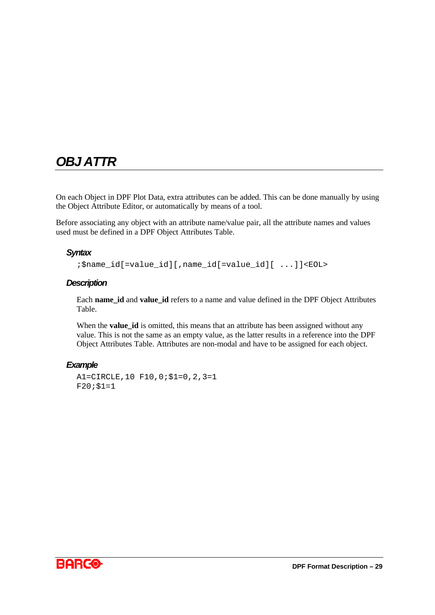# *OBJ ATTR*

On each Object in DPF Plot Data, extra attributes can be added. This can be done manually by using the Object Attribute Editor, or automatically by means of a tool.

Before associating any object with an attribute name/value pair, all the attribute names and values used must be defined in a DPF Object Attributes Table.

#### *Syntax*

;\$name\_id[=value\_id][,name\_id[=value\_id][ ...]]<EOL>

#### *Description*

Each **name** id and **value** id refers to a name and value defined in the DPF Object Attributes Table.

When the **value id** is omitted, this means that an attribute has been assigned without any value. This is not the same as an empty value, as the latter results in a reference into the DPF Object Attributes Table. Attributes are non-modal and have to be assigned for each object.

```
A1=CIRCLE,10 F10,0;$1=0,2,3=1
F20;$1=1
```